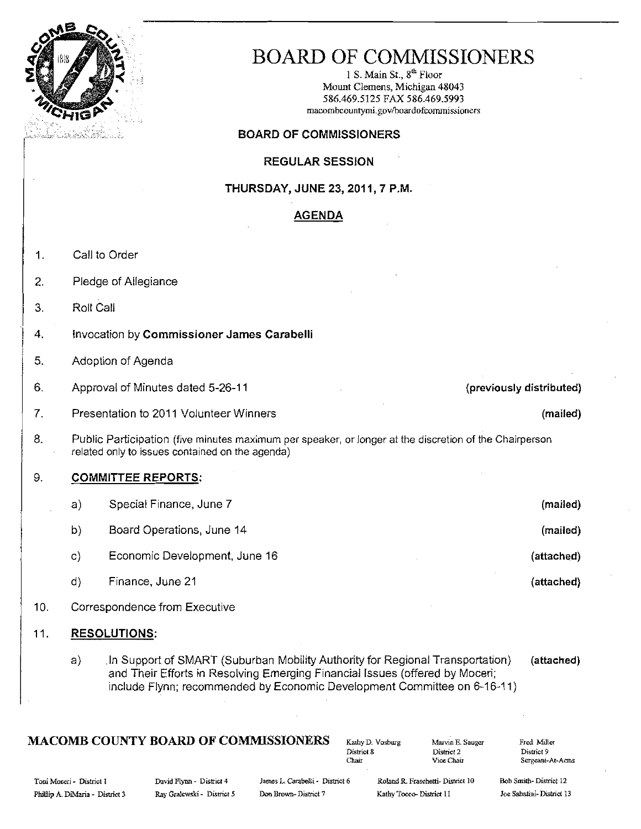

## BOARD OF COMMISSIONERS

1 S. Main St., 8<sup>th</sup> Floor Mount Clemens, Michigan 48043 586.469.5125 FAX 586.469.5993 macombcountymi.gov/boardofcommissioners

#### BOARD OF COMMISSIONERS

#### REGULAR SESSION

THURSDAY, JUNE 23, 2011, 7 P.M.

#### AGENDA

- 1. Call to Order
- 2. Pledge of Allegiance
- 3. Roll Call
- 4. Invocation by Commissioner James Carabelli
- 5. Adoption of Agenda
- 6. Approval of Minutes dated 5-26-11 (previously distributed)
- 7. Presentation to 2011 Volunteer Winners (mailed) and the control of the control of the control of the control of the control of the control of the control of the control of the control of the control of the control of th
- 8. Public Participation (five minutes maximum per speaker, or longer at the discretion of the Chairperson related only to issues contained on the agenda)

#### 9. **COMMITTEE REPORTS:**

- a) Special Finance, June 7 (mailed) b) Board Operations, June 14 (mailed) by Board Operations, June 14 (mailed) c) Economic Development, June 16 (attached) Economic Development, June 16 d) Finance, June 21 (attached) Finance,  $\frac{1}{2}$  (attached)
- 10. Correspondence from Executive

#### 11. RESOLUTIONS:

a) In Support of SMART (Suburban Mobility Authority for Regional Transportation) (attached) and Their Efforts in Resolving Emerging Financial Issues (offered by Moceri; include Flynn; recommended by Economic Development Committee on 6-16-11)

## $\textbf{MACOMB}\textbf{ COUNTY BOARD OF COMMISSIONERS}$ <br>  $\begin{array}{ccc}\n\text{Katly D. Voshurg} & \text{Marvin E. Sauger} \\
\text{District 8}\n\end{array}$

| Kathy D. Vosbi |
|----------------|
| District 8     |
| Chair          |

District 2<br>Vice Chair

Sergeant-At-Arms

Toni Moceri - District I Cavid Ilynn - District 4 James L. Carabelli - District 6 Roland R. Fraschetti- District 10

Bob Smith-District 12 Joe Sabatini-District 13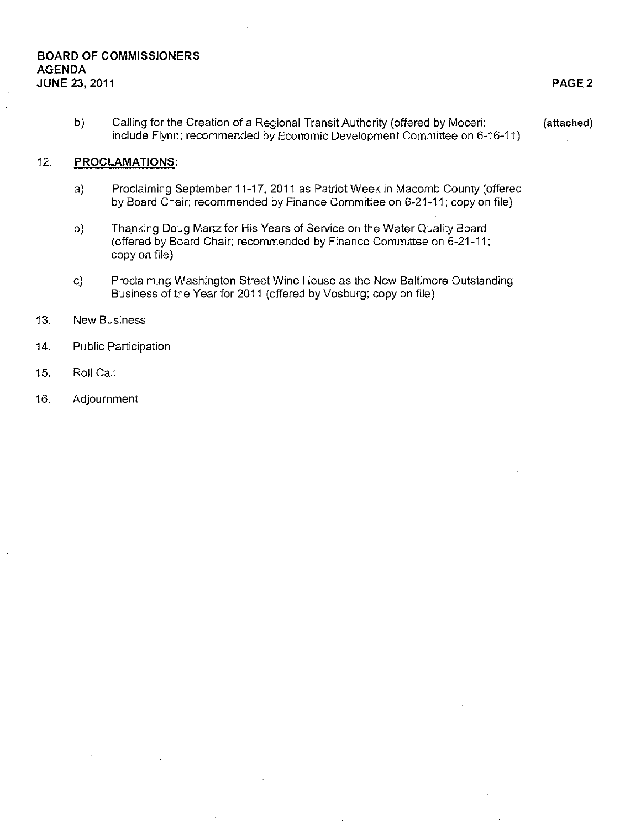#### **BOARD OF COMMISSIONERS AGENDA JUNE 23, 2011 PAGE 2**

b) Calling for the Creation of a Regional Transit Authority (offered by Moceri; (attached) include Flynn; recommended by Economic Development Committee on 6-16-11)

#### 12. **PROCLAMATIONS;**

- a) Proclaiming September 11-17, 2011 as Patriot Week in Macomb County (offered by Board Chair; recommended by Finance Committee on 6-21-11; copy on file)
- b) Thanking Doug Martz for His Years of Service on the Water Quality Board (offered by Board Chair; recommended by Finance Committee on 6-21-11; copy on file)
- c) Proclaiming Washington Street Wine House as the New Baltimore Outstanding Business of the Year for 2011 (offered by Vosburg; copy on fiie)
- 13. New Business
- 14. Public Participation
- 15. Roll Calt
- 16. Adjournment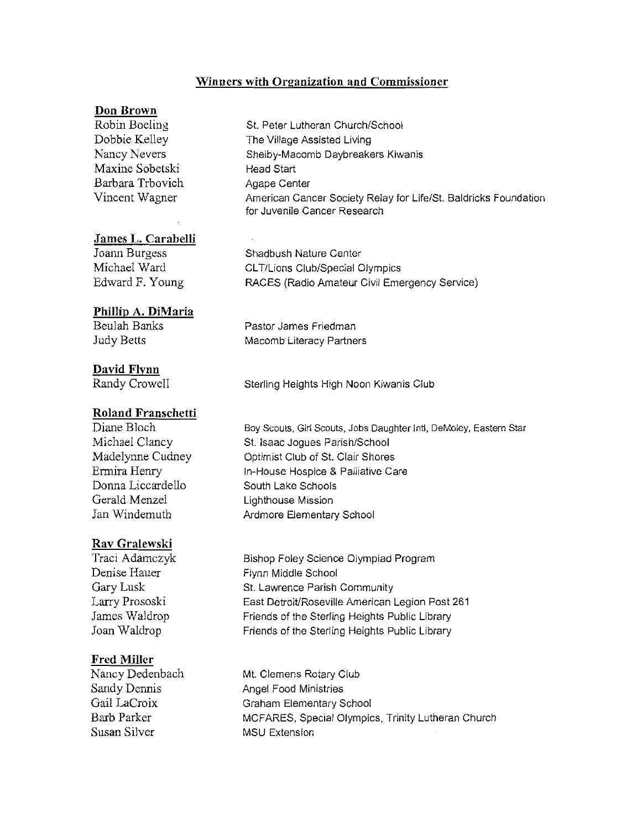#### **Winners with Organization and Commissioner**

#### **Don Brown**

Maxine Sobetski Head Start Barbara Trbovich Agape Center

#### James **L. Carabelli**

#### **Phillip A. DiMaria**

#### **David Flynn**

#### **Roland Franschetti**

Gerald Menzel **Lighthouse Mission** 

#### **Rav Gralewski**

#### **Fred Miller**

Susan Silver MSU Extension

Robin Boeling St. Peter Lutheran Church/School Dobbie Kelley The Village Assisted Living Nancy Nevers Shelby-Macomb Daybreakers Kiwanis Vincent Wagner American Cancer Society Relay for Life/SI. Baldricks Foundation for Juvenile Cancer Research

Joann Burgess Shadbush Nature Center Michael Ward CLT/Lions Club/Special Olympics<br>Edward F. Young RACES (Radio Amateur Civil Eme RACES (Radio Amateur Civil Emergency Service)

Beulah Banks Pastor James Friedman Judy Betts Macomb Literacy Partners

Randy Crowell Sterling Heights High Noon Kiwanis Club

Diane Bloch Boy Scouts, Girl Scouts, Jobs Daughter Inti, DeMoley, Eastern Star Michael Clancy St. Isaac Joques Parish/School Madelynne Cudney **Optimist Club of St. Clair Shores** Ermira Henry **In-House Hospice & Palliative Care**<br>
Donna Liccardello **Care** South Lake Schools South Lake Schools Jan Windemuth **Ardmore Elementary School** 

Traci Adamczyk Bishop Foley Science Olympiad Program Denise Hauer Flynn Middle School Gary Lusk St. Lawrence Parish Community Larry Prososki East Detroit/Roseville American Legion Post 261 James Waldrop Friends of the Sterling Heights Public Library Joan Waldrop Friends of the Sterling Heights Public Library

Nancy Dedenbach Mt. Clemens Rotary Club Sandy Dennis Angel Food Ministries Gail LaCroix Graham Elementary School Barb Parker MCFARES, Special Olympics, Trinity Lutheran Church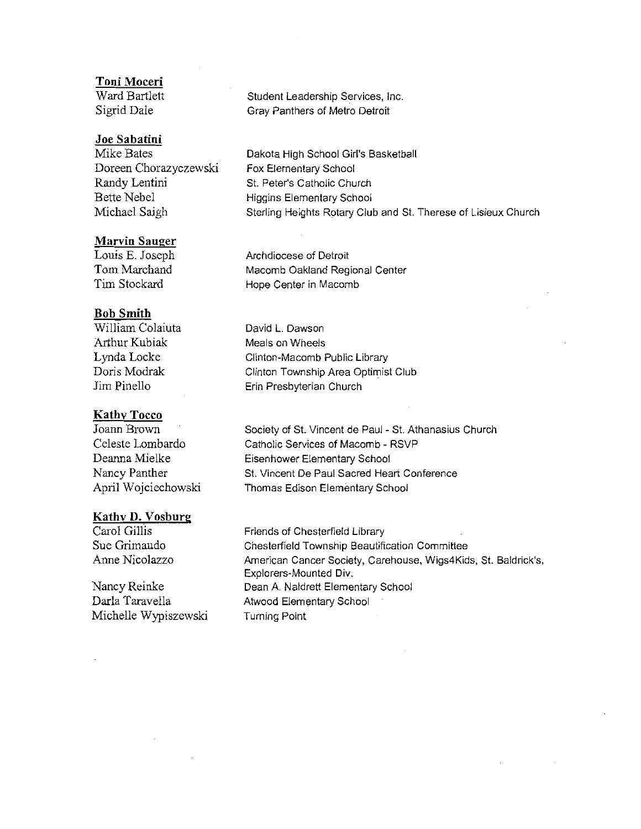#### **Toni Moceri**

Ward Bartlett Sigrid Dale

#### **Joe Sabatini**

Mike Bates Doreen Chorazyczewski Randy Lentini Bette Nebel Michael Saigh

#### **Marvin Sauger**

Louis E. Joseph Tom Marchand Tim Stockard

#### **Bob Smith**

William Colaiuta Arthur Kubiak Lynda Locke Doris Modrak Jim Pinello

#### **KathvTocco**

Joann Brown Celeste Lombardo Deanna Mielke Nancy Panther April Wojciechowski

#### **Kathv D. Vosburg**

Carol Gillis Sue Grimaudo Anne Nicolazzo

Nancy Reinke Darla Taravella Michelle Wypiszewski Student Leadership Services, Inc. Gray Panthers of Metro Detroit

Dakota High School Girl's Basketball Fox Elementary School St. Peter's Catholic Church Higgins Elementary School Sterling Heights Rotary Club and St. Therese of Lisieux Church

Archdiocese of Detroit Macomb Oakland Regional Center Hope Center in Macomb

David L. Dawson Meals on Wheels Clinton-Macomb Public Library Clinton Township Area Optimist Club Erin Presbyterian Church

Society of St. Vincent de Paul - St. Athanasius Church Catholic Services of Macomb - RSVP Eisenhower Elementary School St. Vincent De Paul Sacred Heart Conference Thomas Edison Elementary School

Friends of Chesterfield Library Chesterfield Township Beautification Committee American Cancer Society, Carehouse, Wigs4Kids, St. Baldrick's, Explorers-Mounted Div. Dean A. Naldrett Elementary School Atwood Elementary School Turning Point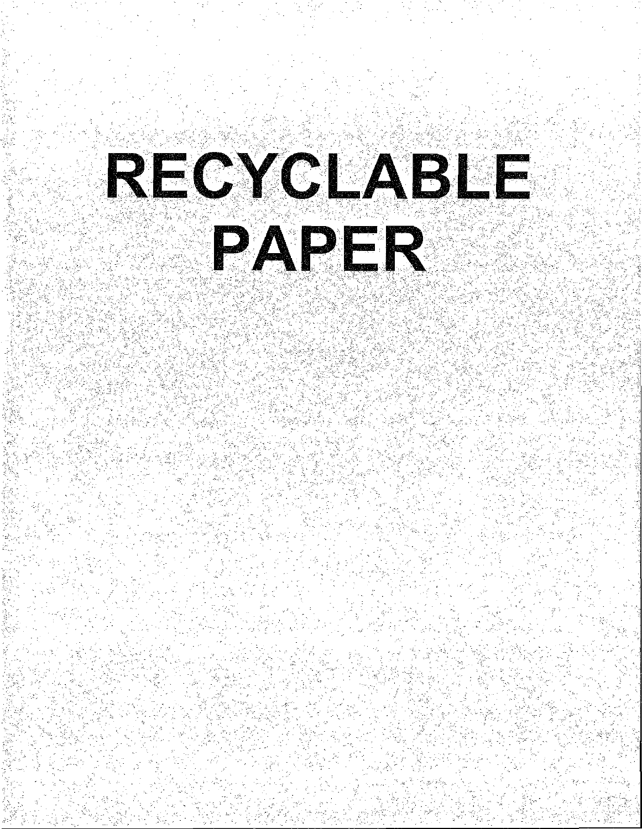# RECYCLABLE PAPER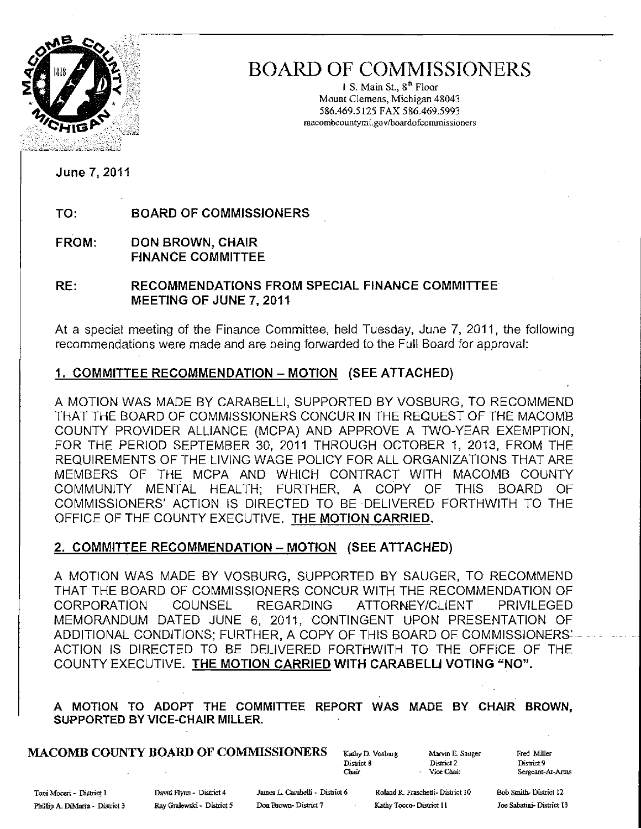

## BOARD OF COMMISSIONERS

I S. Main St., 8'" Floor Mount Clemens, Michigan 48043 586.469.5125 FAX 586.469.5993 macombcountymi.govlboardofcorrunissioners

June 7, 2011

TO: BOARD OF COMMISSIONERS

FROM: DON BROWN, CHAIR FINANCE COMMITTEE

RE: RECOMMENDATIONS FROM SPECIAL FINANCE COMMITTEE MEETING OF JUNE 7, 2011

At a special meeting of the Finance Committee, held Tuesday, June 7, 2011, the following recommendations were made and are being forwarded to the Full Board for approval:

#### 1. COMMITTEE RECOMMENDATION - MOTION (SEE ATTACHED)

A MOTION WAS MADE BY CARABELLI, SUPPORTED BY VOSBURG, TO RECOMMEND THAT THE BOARD OF COMMISSIONERS CONCUR IN THE REQUEST OF THE MACOMB COUNTY PROVIDER ALLIANCE (MCPA) AND APPROVE A TWO-YEAR EXEMPTION, FOR THE PERIOD SEPTEMBER 30, 2011 THROUGH OCTOBER 1, 2013, FROM THE REQUIREMENTS OF THE LIVING WAGE POLICY FOR ALL ORGANIZATIONS THAT ARE MEMBERS OF THE MCPA AND WHICH CONTRACT WITH MACOMB COUNTY COMMUNITY MENTAL HEALTH; FURTHER, A COPY OF THIS BOARD OF COMMISSIONERS' ACTION is DIRECTED TO BE DELIVERED FORTHWITH TO THE OFFICE OF THE COUNTY EXECUTIVE. THE MOTION CARRIED.

#### 2. COMMITTEE RECOMMENDATION - MOTION (SEE ATTACHED)

A MOTION WAS MADE BY VOSBURG, SUPPORTED BY SAUGER, TO RECOMMEND THAT THE BOARD OF COMMISSIONERS CONCUR WITH THE RECOMMENDATION OF CORPORATION COUNSEL REGARDING ATTORNEY/CLIENT PRIVILEGED MEMORANDUM DATED JUNE 6, 2011, CONTINGENT UPON PRESENTATION OF ADDITIONAL CONDITIONS; FURTHER, A COPY OF THIS BOARD OF COMMISSIONERS' ACTION IS DIRECTED TO BE DELIVERED FORTHWiTH TO THE OFFiCE OF THE COUNTY EXECUTIVE. THE MOTION CARRIED WITH CARABELU VOTING *"NO".* 

A MOTION TO ADOPT THE COMMITTEE REPORT WAS MADE BY CHAIR BROWN, SUPPORTED BY VICE-CHAIR MILLER.

## MACOMB COUNTY BOARD OF COMMISSIONERS Kauby D. Vosburg Marvin E. Saoger Fred Miller<br>District 8 District 2 District 9

District 8 Dislricf2 District9

Sergeant-At-Arms

Toni Moceri - District 1 David Flynn - District 4 James L. Carabelli - District 6 Roland R. Fraschetti - District 10 Bob Smith- District 12 Pbillip A.. DiMaria - Dtslriet 3 Ray G:ralewski· District 5 Don Brown- District 7 Kathy TOCCQ- District **II** Joe Sabatini- District 13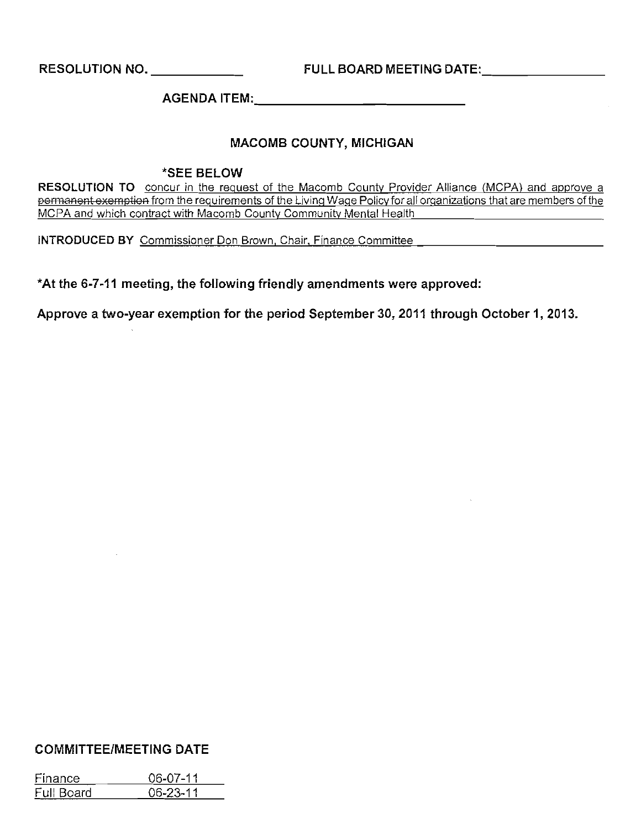**RESOLUTION NO.** \_ **FULL BOARD MEETING** DATE: \_

**AGENDA** ITEM: \_

#### **MACOMB COUNTY, MICHIGAN**

#### **\*SEE BELOW**

**RESOLUTION TO** concur in the request of the Macomb County Provider Alliance (MCPA) and approve a permanent exemptien from the requirements of the living Wage Policy for all organizations that are members of the MCPA and which contract with Macomb County Community Mental Health

**INTRODUCED BY** Commissioner Don Brown, Chair, Finance Committee

**\*At** *the* **6-7-11 meeting,** *the* **following friendly amendments were approved:** 

**Approve a two-year exemption for** *the* **period September 30,2011 through October 1, 2013.** 

#### **COMMITTEE/MEETING DATE**

| Finance    | 06-07-11       |
|------------|----------------|
| Full Board | $06 - 23 - 11$ |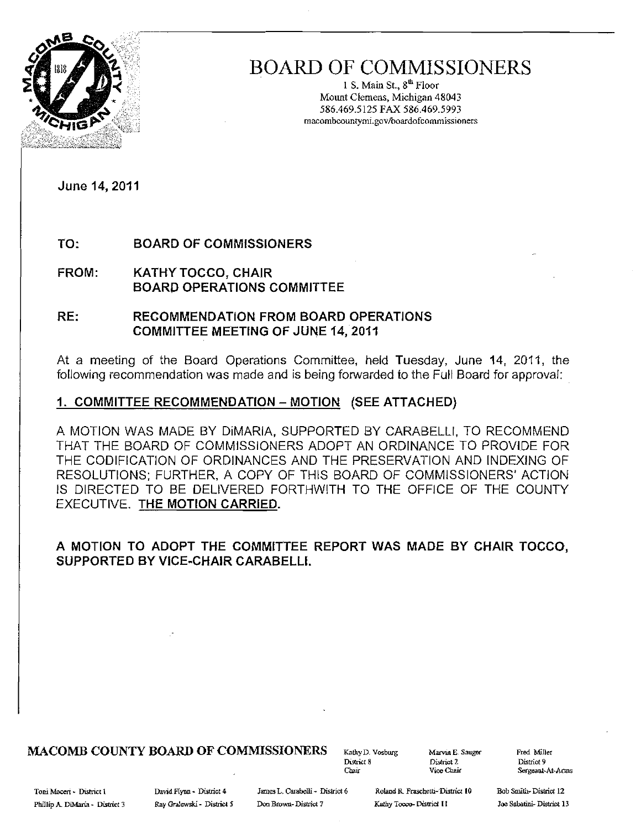

## **BOARD OF COMMISSIONERS**

1 S. Main St.,  $8^{th}$  Floor Mount Clemens, Michigan 48043 586.469.5125 FAX 586.469.5993 **macombcountymi.govlboardofcommissioners** 

**June 14,2011** 

**TO: BOARD OF COMMISSIONERS** 

**FROM:** KATHY TOCCO, **CHAIR BOARD OPERATIONS COMMITTEE** 

**RE: RECOMMENDATION FROM BOARD OPERATIONS COMMITTEE MEETING OF JUNE 14, 2011** 

At a meeting of the Board Operations Committee, held Tuesday, June **14,** 2011, the following recommendation was made and is being forwarded to the Full Board for approval:

#### **1. COMMITTEE RECOMMENDATION - MOTION (SEE ATTACHED)**

A MOTION WAS MADE BY DiMARIA, SUPPORTED BY CARABELLI, TO RECOMMEND THAT THE BOARD OF COMMISSIONERS ADOPT AN ORDINANCE TO PROVIDE FOR THE CODIFICATION OF ORDINANCES AND THE PRESERVATION AND INDEXING OF RESOLUTIONS; FURTHER, A COPY OF THIS BOARD OF COMMISSIONERS' ACTION IS DIRECTED TO BE DELIVERED FORTHWITH TO THE OFFICE OF THE COUNTY EXECUTIVE. **THE MOTION CARRIED.** 

#### **A MOTION TO ADOPT THE COMMITTEE REPORT WAS MADE BY CHAIR TOCCO, SUPPORTED BY VICE·CHAIR CARABELL!.**

#### **MACOMB COUNTY BOARD OF COMMISSIONERS** KathyD. Vosburg Marvin E. Sauger Fred Miller

District 8 **District 2 District 9** 

Chair **Vice Chair Sergeant-At-Arms** 

Toni Moceri - District 1 1 David Flynn - District 4 James L. Carabelli - District 6 Roland R. Fraschetti- District 10 Bob Smith- District 12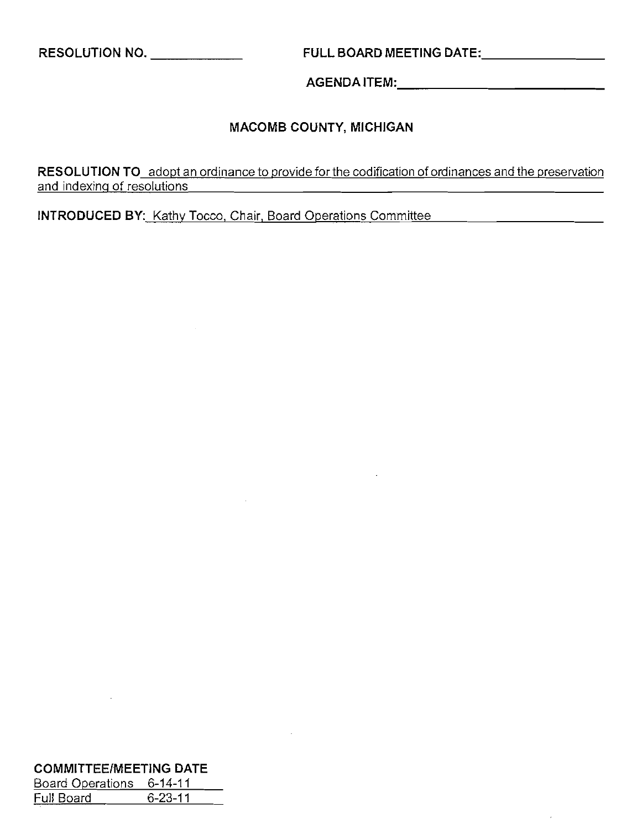**RESOLUTION NO.** \_ **FULL BOARD MEETING** DATE:, \_

AGENDAITEM: \_

### **MACOMB COUNTY, MICHIGAN**

**RESOLUTION TO** adopi an ordinance to provide forthe codificaiion of ordinances and the preservation and indexing of resolutions

**INTRODUCED BY:** Kathy Tocco, Chair, Board Operations Committee **Committee** 

| <b>COMMITTEE/MEETING DATE</b> |               |  |  |  |  |
|-------------------------------|---------------|--|--|--|--|
| Board Operations              | 6-14-11       |  |  |  |  |
| Full Board                    | $6 - 23 - 11$ |  |  |  |  |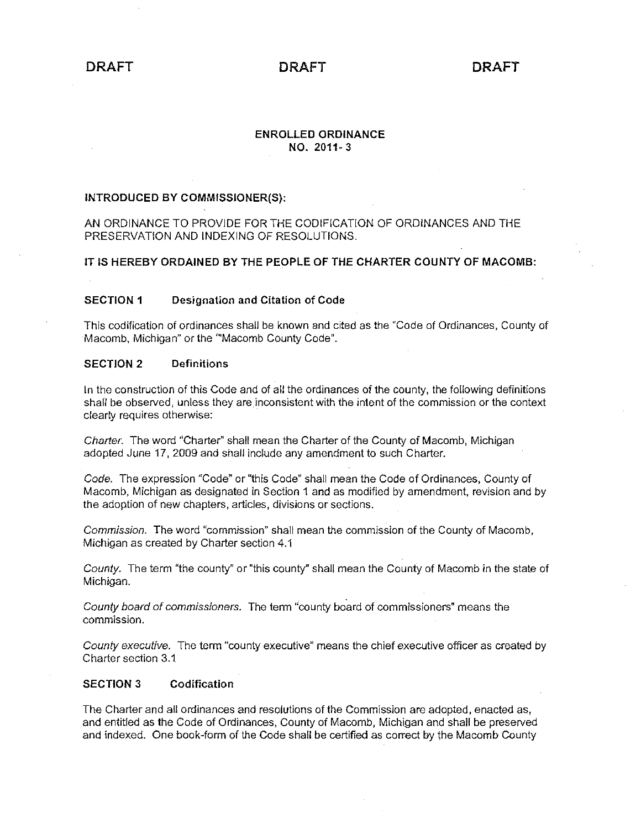#### ENROLLED ORDINANCE NO. 2011- 3

#### INTRODUCED BY COMMISSIONER(S):

#### AN ORDINANCE TO PROVIDE FOR THE CODIFICATION OF ORDINANCES AND THE PRESERVATION AND INDEXING OF RESOLUTIONS.

#### IT IS HEREBY ORDAINED BY THE PEOPLE OF THE CHARTER COUNTY OF MACOMB:

#### SECTION 1 Designation and Citation of Code

This codification of ordinances shall be known and cited as the "Code of Ordinances, County of Macomb, Michigan" or the "Macomb County Code".

#### SECTION 2 Definitions

In the construction of this Code and of all the ordinances of the county, the following definitions shall be observed, unless they are inconsistent with the intent of the commission or the context clearly requires otherwise:

Charter. The word "Charter" shall mean the Charter of the County of Macomb, Michigan adopted June 17, 2009 and shall include any amendment to such Charter.

Code. The expression "Code" or "this Code" shall mean the Code of Ordinances, County of Macomb, Michigan as designated in Section 1 and as modified by amendment, revision and by the adoption of new chapters, articles, divisions or sections.

Commission. The word "commission" shall mean the commission of the County of Macomb, Michigan as created by Charter section 4.1

County. The term "the county" or "this county" shall mean the County of Macomb in the state of Michigan.

County board of commissioners. The term "county board of commissioners" means the commission.

County executive. The term "county executive" means the chief executive officer as created by Charter section 3.1

#### SECTION 3 Codification

The Charter and all ordinances and resolutions of the Commission are adopted, enacted as, and entitled as the Code of Ordinances, County of Macomb, Michigan and shall be preserved and indexed. One book-form of the Code shall be certified as correct by the Macomb County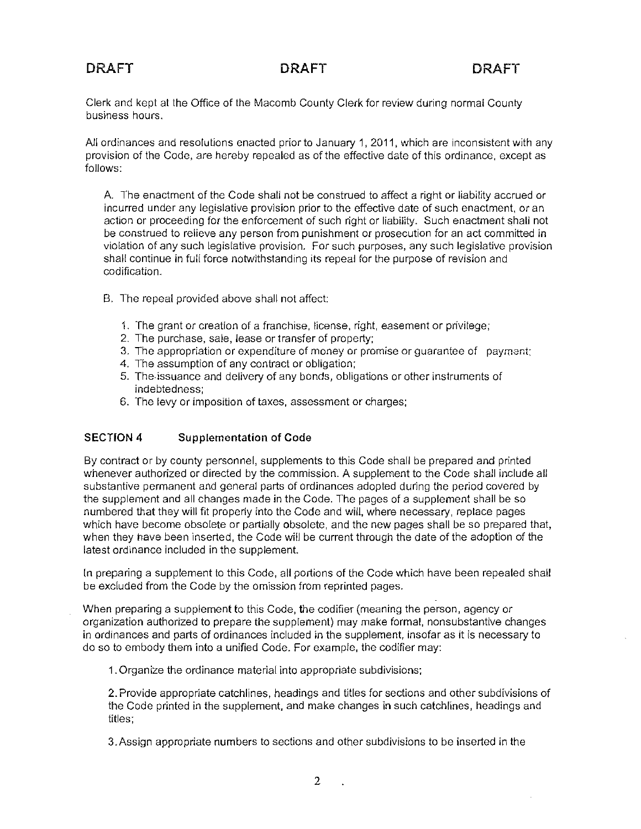Clerk and kept at the Office of the Macomb County Clerk for review during normal County business hours.

All ordinances and resolutions enacted prior to January 1,2011, which are inconsistent with any provision of the Code, are hereby repealed as of the effective date of this ordinance, except as follows:

A. The enactment of the Code shall not be construed to affect a right or liability accrued or incurred under any legislative provision prior to the effective date of such enactment, or an action or proceeding for the enforcement of such right or liability. Such enactment shall not be construed to relieve any person from punishment or prosecution for an act committed in violation of any such legislative provision. For such purposes, any such legislative provision shall continue in full force notwithstanding its repeal for the purpose of revision and codification.

- B. The repeal provided above shall not affect:
	- 1. The grant or creation of a franchise, license, right, easement or privilege;
	- 2. The purchase, sale, lease or transfer of property;
	- 3. The appropriation or expenditure of money or promise or guarantee of payment;
	- 4. The assumption of any contract or obligation;
	- 5. The·issuance and delivery of any bonds, obligations or other instruments of indebtedness;
	- 6. The levy or imposition of taxes, assessment or charges;

#### SECTION 4 Supplementation of Code

By contract or by county personnel, supplements to this Code shall be prepared and printed whenever authorized or directed by the commission. A supplement to the Code shall include all substantive permanent and general parts of ordinances adopted during the period covered by the supplement and all changes made in the Code. The pages of a supplement shall be so numbered that they will fit properly into the Code and will, where necessary, replace pages which have become obsolete or partially obsolete, and the new pages shall be so prepared that, when they have been inserted, the Code will be current through the date of the adoption of the latest ordinance included in the supplement.

In preparing a supplement to this Code, all portions of the Code which have been repealed shall be excluded from the Code by the omission from reprinted pages.

When preparing a supplement to this Code, the codifier (meaning the person, agency or organization authorized to prepare the supplement) may make formal, nonsubstantive changes in ordinances and parts of ordinances included in the supplement, insofar as it is necessary to do so to embody them into a unified Code. For example, the codifier may:

1. Organize the ordinance material into appropriate subdivisions;

2. Provide appropriate catchlines, headings and titles for sections and other subdivisions of the Code printed in the supplement, and make changes in such catchlines, headings and titles;

3. Assign appropriate numbers to sections and other subdivisions to be inserted in the

 $\ddot{\phantom{a}}$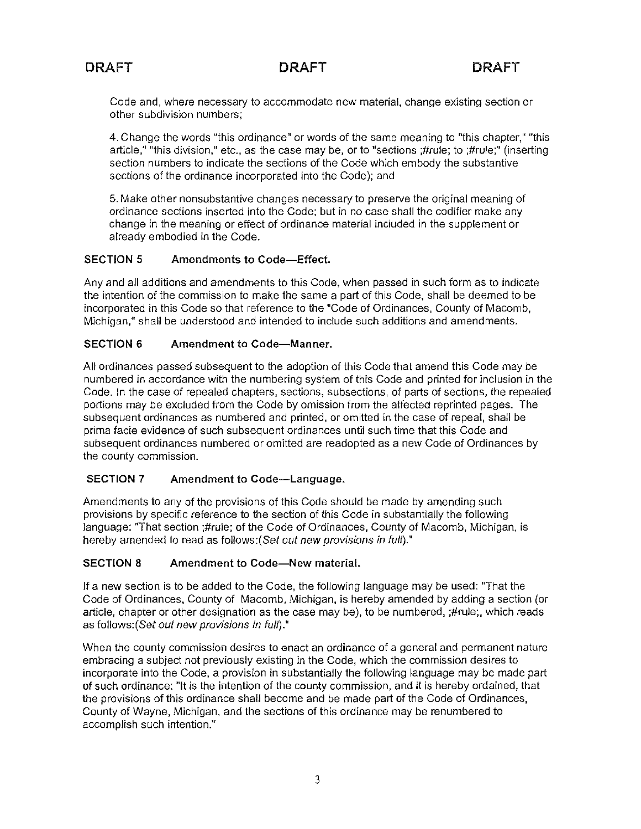Code and, where necessary to accommodate new material, change existing section or other subdivision numbers;

4. Change the words "this ordinance" or words of the same meaning to "this chapter," "this article," "this division," etc., as the case may be, or to "sections ;#rule; to ;#rule;" (inserting section numbers to indicate the sections of the Code which embody the substantive sections of the ordinance incorporated into the Code); and

5. Make other nonsubstantive changes necessary to preserve the original meaning of ordinance sections inserted into the Code; but in no case shall the codifier make any change in the meaning or effect of ordinance material included in the supplement or already embodied in the Code.

#### **SECTION 5** Amendments **to** Code-Effect.

Any and all additions and amendments to this Code, when passed in such form as to indicate the intention of the commission to make the same a part of this Code, shall be deemed to be incorporated in this Code so that reference to the "Code of Ordinances, County of Macomb, Michigan," shall be understood and intended to include such additions and amendments.

#### **SECTION 6** Amendment to Code-Manner.

All ordinances passed subsequent to the adoption of this Code that amend this Code may be numbered in accordance with the numbering system of this Code and printed for inclusion in the Code. In the case of repealed chapters, sections, subsections, of parts of sections, the repealed portions may be excluded from the Code by omission from the affected reprinted pages. The subsequent ordinances as numbered and printed, or omitted in the case of repeal, shall be prima facie evidence of such subsequent ordinances until such time that this Code and subsequent ordinances numbered or omitted are readopted as a new Code of Ordinances by the county commission.

#### **SECTION 7** Amendment to Code-Language.

Amendments to any of the provisions of this Code should be made by amending such provisions by specific reference to the section of this Code in substantially the following language: "That section ;#rule; of the Code of Ordinances, County of Macomb, Michigan, is hereby amended to read as follows: (Set out new provisions in full)."

#### **SECTION 8** Amendment to Code-New material.

If a new section is to be added to the Code, the following language may be used: "That the Code of Ordinances, County of Macomb, Michigan, is hereby amended by adding a section (or article, chapter or other designation as the case may be), to be numbered, ;#rule;, which reads as follows: (Set out new provisions in full)."

When the county commission desires to enact an ordinance of a general and permanent nature embracing a subject not previously existing in the Code, which the commission desires to incorporate into the Code, a provision in substantially the following language may be made part of such ordinance: "It is the intention of the county commission, and it is hereby ordained, that the provisions of this ordinance shall become and be made part of the Code of Ordinances, County of Wayne, Michigan, and the sections of this ordinance may be renumbered to accomplish such intention."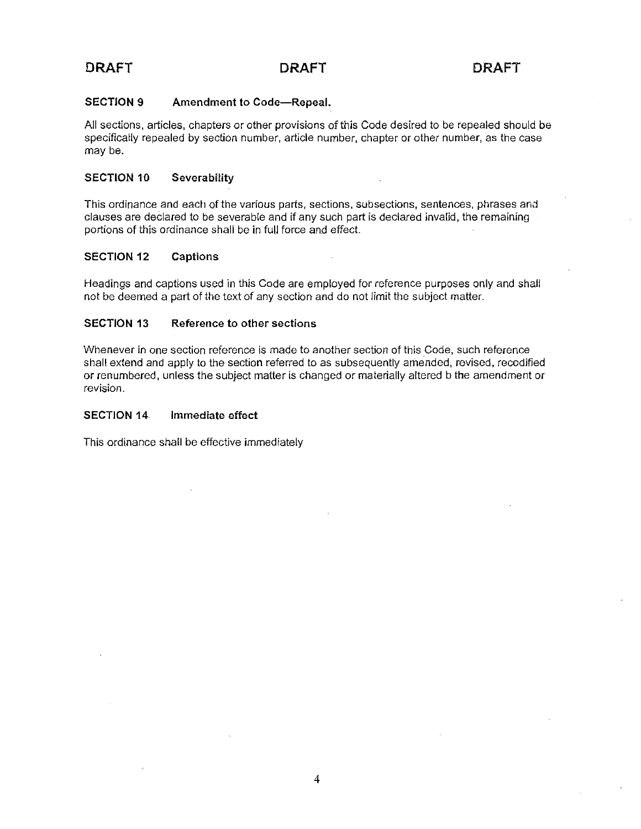#### SECTION 9 Amendment to Code-Repeal.

All sections, articles, chapters or other provisions of this Code desired to be repealed should be specifically repealed by section number, article number, chapter or other number, as the case may be.

#### SECTION 10 Severability

This ordinance and each of the various parts, sections, subsections, sentences, phrases and clauses are declared to be severable and if any such part is declared invalid, the remaining portions of thjs ordinance shall be in full force and effect.

#### SECTION 12 Captions

Headings and captions used in this Code are employed for reference purposes only and shall not be deemed a part of the text of any section and do not limit the subject matter.

#### SECTION 13 Reference to other sections

Whenever in one section reference is made to another section of this Code, such reference shall extend and apply to the section referred to as subsequently amended, revised, recodified or renumbered, unless the subject matter is changed or materially altered b the amendment or revision.

#### SECTION 14. Immediate effect

This ordinance shall be effective immediately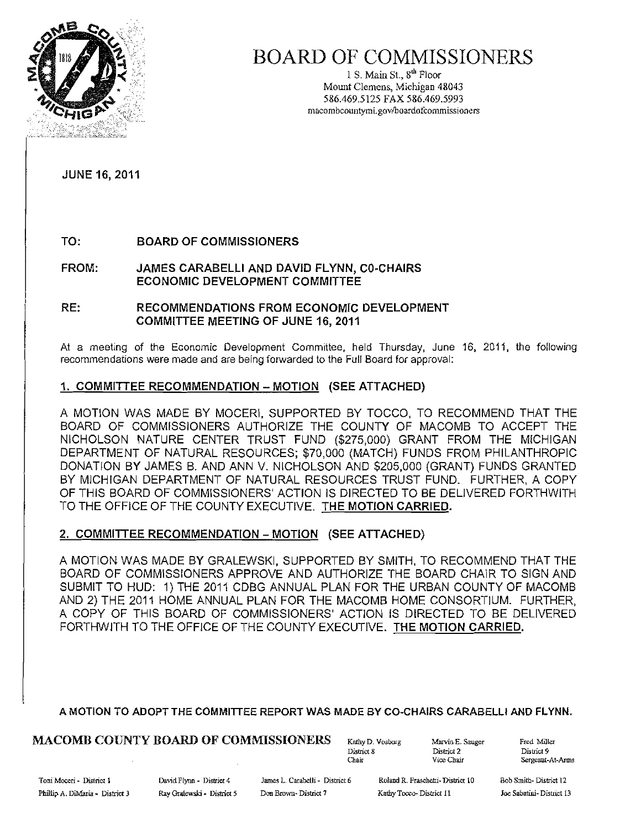

## BOARD OF COMMISSIONERS

1 S. Main St.,  $8^{th}$  Floor Mount Clemens, Michigan 4&043 5&6.469.5125 FAX 5&6.469.5993 macombcountymi.gov/boardofcommissioners

JUNE 16, 2011

TO: BOARD OF COMMISSIONERS

FROM: JAMES CARABELLI AND DAVID FLYNN, CO-CHAIRS ECONOMIC DEVELOPMENT COMMITTEE

#### RE: RECOMMENDATIONS FROM ECONOMIC DEVELOPMENT COMMITTEE MEETING OF JUNE 16,2011

At a meeting of the Economic Development Committee, held Thursday, June 16, 2011, the following recommendations were made and are being forwarded to the Full Board for approval:

#### 1. COMMITTEE RECOMMENDATION - MOTION (SEE ATTACHED)

A MOTION WAS MADE BY MOCERI. SUPPORTED BY TOCCO, TO RECOMMEND THAT THE BOARD OF COMMISSIONERS AUTHORIZE THE COUNTY OF MACOMB TO ACCEPT THE NICHOLSON NATURE CENTER TRUST FUND (\$275,000) GRANT FROM THE MICHIGAN DEPARTMENT OF NATURAL RESOURCES; \$70,000 (MATCH) FUNDS FROM PHILANTHROPIC DONATION BY JAMES B. AND ANN V. NICHOLSON AND \$205,000 (GRANT) FUNDS GRANTED BY MICHIGAN DEPARTMENT OF NATURAL RESOURCES TRUST FUND. FURTHER, A COPY OF THIS BOARD OF COMMISSIONERS' ACTION IS DIRECTED TO BE DELIVERED FORTHWITH TO THE OFFICE OF THE COUNTY EXECUTIVE. THE MOTION CARRIED.

#### 2. COMMITTEE RECOMMENDATION - MOTION (SEE ATTACHED)

A MOTION WAS MADE BY GRALEWSKI, SUPPORTED BY SMITH, TO RECOMMEND THAT THE BOARD OF COMMISSIONERS APPROVE AND AUTHORIZE THE BOARD CHAIR TO SIGN AND SUBMIT TO HUD: 1) THE 2011 CDBG ANNUAL PLAN FOR THE URBAN COUNTY OF MACOMB AND 2) THE 2011 HOME ANNUAL PLAN FOR THE MACOMB HOME CONSORTIUM. FURTHER, A COpy OF THIS BOARD OF COMMISSIONERS' ACTION IS DIRECTED TO BE DELIVERED FORTHWITH TO THE OFFICE OF THE COUNTY EXECUTIVE. THE MOTION CARRIED.

#### A MOTION TO ADOPT THE COMMITTEE REPORT WAS MADE BY CO-CHAIRS CARABELLI AND FLYNN.

## $\textbf{MACOMB COUNTY BOARD OF COMMISSIONERS}$   $\text{Kathy D. Voshorg}$   $\text{Marcials}$   $\text{Marcials}$   $\text{Distric1 2}$

District 8 District 2<br>Chair Vice Chair

Chair Vice Chair Sergeaut-At-Arms

Phillip A. DiMaria - District 3 Ray Gralewski - District 5 Don Brown- District 7 Kathy Tocco- District 11

Toni Moceri - District I Cavid Flynn - District 4 James L. Carabelli - District 6 Roland R. Fraschetti- District 10

Bob Smith-District 12 Joe Sabatini-District 13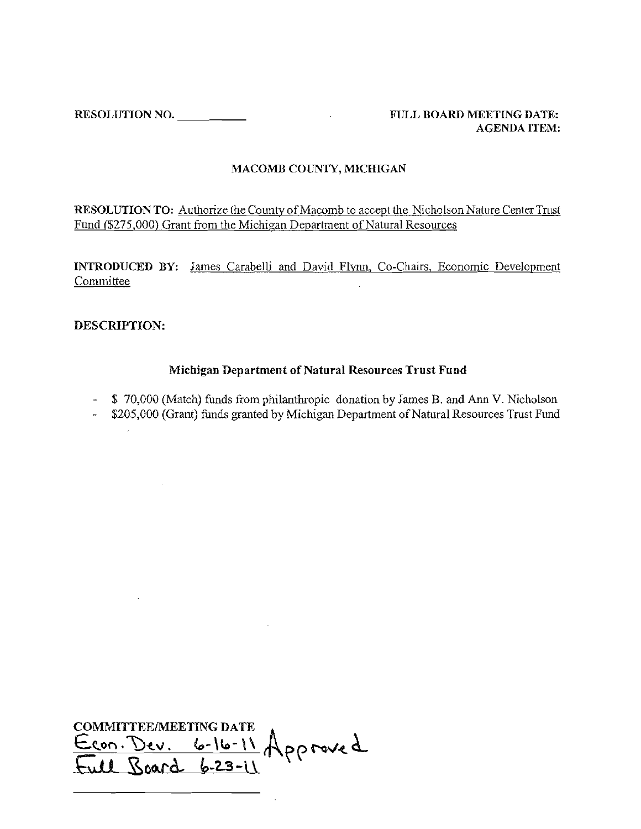**RESOLUTION NO.** \_ **FULL BOARD MEETING DATE:** 

# **AGENDA ITEM:**

#### **MACOMB COliNTY, MICffiGAN**

**RESOLUTION TO:** Authorize the County of Macomb to accept the Nicholson Nature Center Trust Fund (\$275,000) Grant from the Michigan Department of Natural Resources

**INTRODUCED BY:** James Carabelli and David Flynn, Co-Chairs, Economic Development **Committee** 

#### **DESCRIPTION:**

 $\sim 10^{-1}$ 

#### **Michigan Department of Natural Resources Trust Fund**

- \$ 70,000 (Match) funds from philanthropic donation by James B. and Ann V. Nicholson

- \$205,000 (Grant) funds granted by Michigan Department of Natural Resources Trust Fund

**COMMITTEE/MEETING DATE** Econ. Dev. 6-16-11 Approved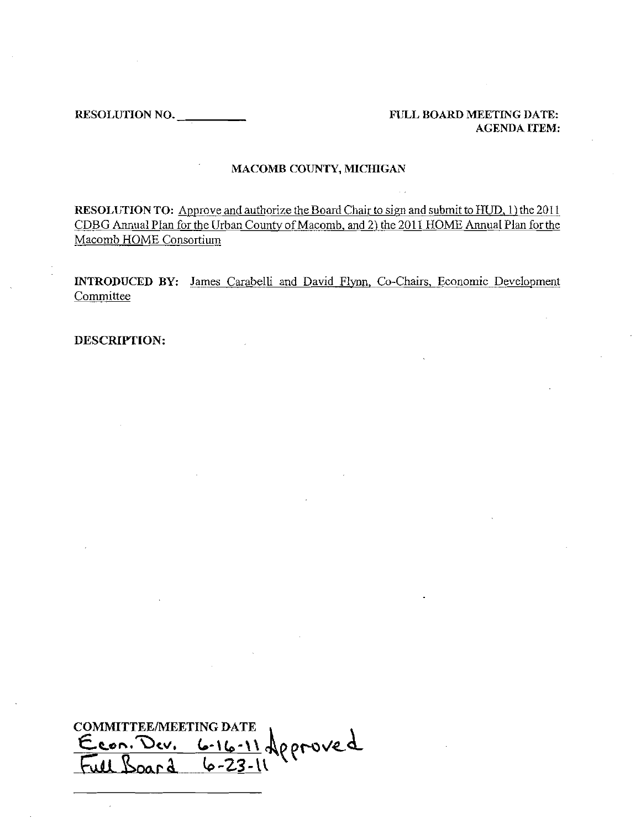RESOLUTION NO.---, \_ FULL BOARD MEETING DATE:

AGENDA ITEM:

#### MACOMB COUNTY, MICHIGAN

RESOLUTION TO: Approve and authorize the Board Chair to sign and submit to HUD, 1) the 2011 CDBG Annual Plan for the Urban County of Macomb, and 2) the 2011 HOME Annual Plan for the Macomb HOME Consortium

INTRODUCED BY: James Carabelli and David Flvnn, Co-Chairs, Economic Development Committee

DESCRIPTION:

**COMMITTEE/MEETING DATE** <u>6-16-11</u> deproved Econ. Dev.  $F_{u11}R$  $\frac{1}{2}$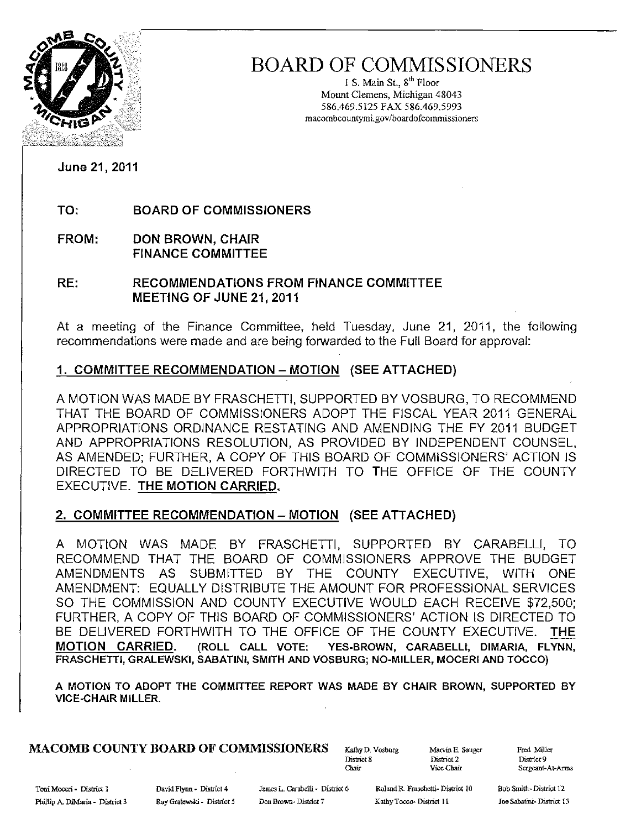

## BOARD OF COMMISSIONERS

I S. Main St.,  $8<sup>th</sup>$  Floor Mount Clemens, Michigan 48043 586.469.5125 FAX 586.469.5993 macombcountymi.gov/boardofcommissioners

June 21, 2011

TO: BOARD OF COMMISSIONERS

FROM: DON BROWN, CHAIR FINANCE COMMITTEE

RE: RECOMMENDATIONS FROM FINANCE COMMITTEE MEETING OF JUNE 21, 2011

At a meeting of the Finance Committee, held Tuesday, June 21, 2011, the following recommendations were made and are being forwarded to the full Board for approval:

### 1. COMMITTEE RECOMMENDATION - MOTION (SEE ATTACHED)

A MOTION WAS MADE BY FRASCHETTI, SUPPORTED BY VOSBURG, TO RECOMMEND THAT THE BOARD OF COMMISSIONERS ADOPT THE FISCAL YEAR 2011 GENERAL APPROPRIATIONS ORDINANCE RESTATING AND AMENDING THE FY 2011 BUDGET AND APPROPRIATIONS RESOLUTION, AS PROVIDED BY INDEPENDENT COUNSEL, AS AMENDED; fURTHER, A COpy OF THIS BOARD Of COMMISSIONERS' ACTION IS DIRECTED TO BE DELIVERED FORTHWITH TO THE OFFICE OF THE COUNTY EXECUTIVE. THE MOTION CARRIED.

### 2. COMMITTEE RECOMMENDATION - MOTION (SEE ATTACHED)

A MOTION WAS MADE BY FRASCHETTI, SUPPORTED BY CARABELL!, TO RECOMMEND THAT THE BOARD OF COMMISSIONERS APPROVE THE BUDGET AMENDMENTS AS SUBMITTED BY THE COUNTY EXECUTIVE, WITH ONE AMENDMENT: EQUALLY DiSTRIBUTE THE AMOUNT FOR PROFESSIONAL SERVICES SO THE COMMISSION AND COUNTY EXECUTIVE WOULD EACH RECEIVE \$72,500; FURTHER, A COpy OF THIS BOARD OF COMMISSIONERS' ACTION is DIRECTED TO BE DELIVERED fORTHWITH TO THE OFFICE OF THE COUNTY EXECUTIVE. THE MOTION CARRIED. (ROLL CALL VOTE: YES-BROWN, CARABELL!, DIMARIA, FLYNN, FRASCHETTI, GRALEWSKI, SABATINI, SMITH AND VOSBURG; NO-MILLER, MOCERI AND TOCCO)

A MOTION TO ADOPT THE COMMITTEE REPORT WAS MADE BY CHAIR BROWN, SUPPORTED BY VICE-CHAIR MILLER.

## MACOMB COUNTY BOARD OF COMMISSIONERS Kathy D. Vosburg Marvin E. Sauger Fred Miller<br>District 8 District Pistrict 2

Chair Vice Chair Sergeant-At-Arms

District 9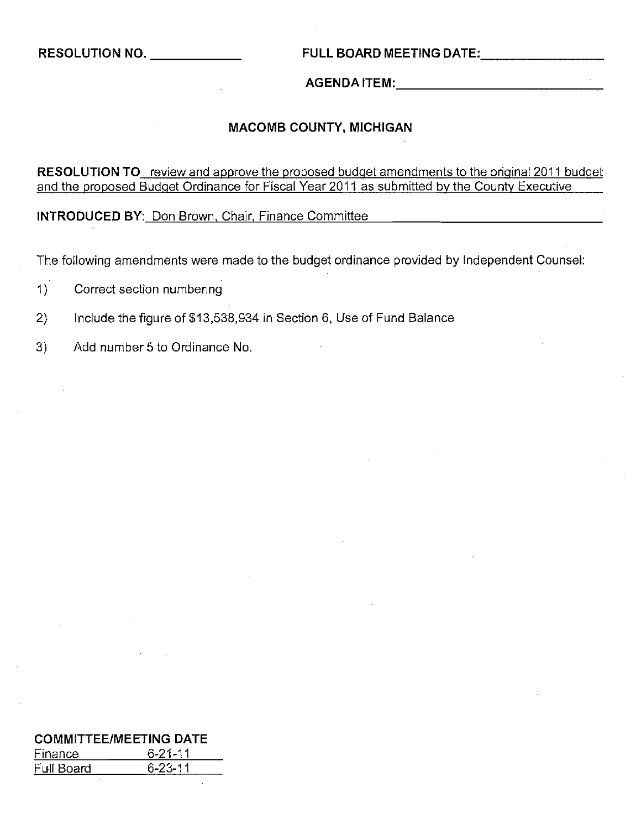#### **RESOLUTION NO.** \_ **FULL BOARD MEETING** DATE: \_

### **AGENDA** ITEM: \_

#### **MACOMB COUNTY, MICHIGAN**

**RESOLUTION TO** review and approve the proposed budget amendments to the original 2011 budget and the proposed Budget Ordinance for Fiscal Year 2011 as submitted by the County Executive

**INTRODUCED BY:** Don Brown, Chair, Finance Committee

The following amendments were made to the budget ordinance provided by Independent Counsel:

- 1) Correct section numbering
- 2) Include the figure of \$13,538,934 in Section 6, Use of Fund Balance
- 3) Add number 5 to Ordinance No.

|            | <b>COMMITTEE/MEETING DATE</b> |
|------------|-------------------------------|
| Finance    | $6 - 21 - 11$                 |
| Full Board | $6 - 23 - 11$                 |
|            |                               |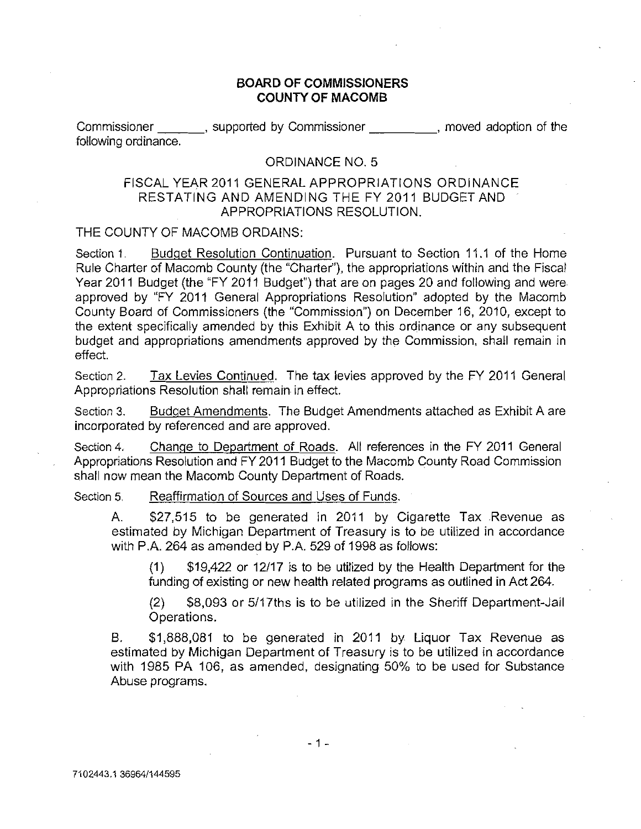#### **BOARD OF COMMISSIONERS COUNTY OF MACOMB**

Commissioner , supported by Commissioner , moved adoption of the following ordinance.

#### ORDINANCE NO.5

#### FISCAL YEAR 2011 GENERAL APPROPRIATIONS ORDINANCE RESTATING AND AMENDING THE FY 2011 BUDGET AND APPROPRIATIONS RESOLUTION.

#### THE COUNTY OF MACOMB ORDAINS:

Section 1. Budget Resolution Continuation. Pursuant to Section 11.1 of the Home Rule Charter of Macomb County (the "Charter"), the appropriations within and the Fiscal Year 2011 Budget (the "FY 2011 Budget") that are on pages 20 and following and were approved by "FY 2011 General Appropriations Resolution" adopted by the Macomb County Board of Commissioners (the "Commission") on December 16, 2010, except to the extent specifically amended by this Exhibit A to this ordinance or any subsequent budget and appropriations amendments approved by the Commission, shall remain in effect.

Section 2. Tax Levies Continued. The tax levies approved by the FY 2011 General Appropriations Resolution shall remain in effect.

Section 3. Budget Amendments. The Budget Amendments attached as Exhibit A are incorporated by referenced and are approved.

Section 4. Change to Department of Roads. All references in the FY 2011 General Appropriations Resolution and FY 2011 BUdget to the Macomb County Road Commission shall now mean the Macomb County Department of Roads.

Section 5. Reaffirmation of Sources and Uses of Funds.

A. \$27,515 to be generated in 2011 by Cigarette Tax Revenue as estimated by Michigan Department of Treasury is to be utilized in accordance with P.A. 264 as amended by P.A. 529 of 1998 as follows:

(1) \$19,422 or 12/17 is to be utilized by the Health Department for the funding of existing or new health related programs as outlined in Act 264.

(2) \$8,093 or 5/17ths is to be utilized in the Sheriff Department-Jail Operations.

B. \$1,888,081 to be generated in 2011 by Liquor Tax Revenue as estimated by Michigan Department of Treasury is to be utilized in accordance with 1985 PA 106, as amended, designating 50% to be used for Substance Abuse programs.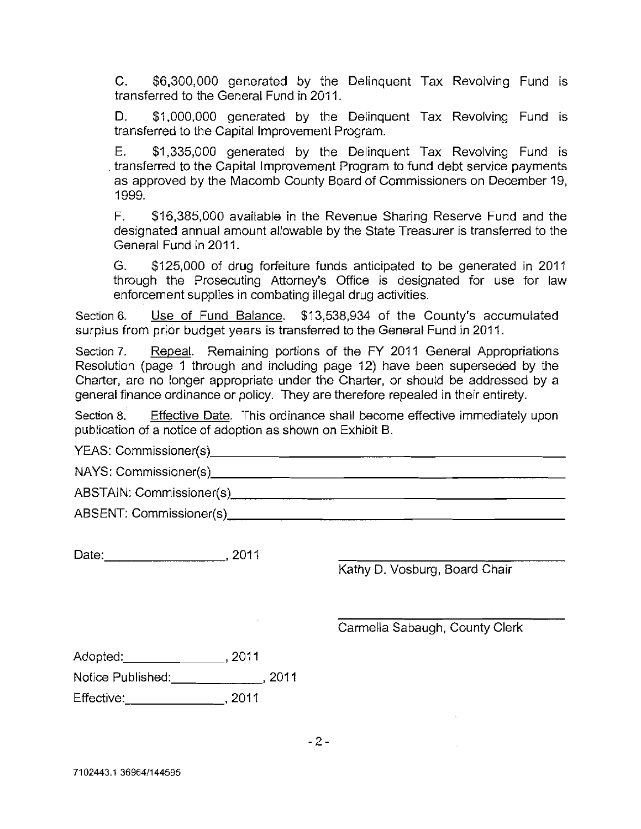C. \$6,300,000 generated by the Delinquent Tax Revolving Fund is transferred to the General Fund in 2011.

D. \$1,000,000 generated by the Delinquent Tax Revolving Fund is transferred to the Capital Improvement Program.

E. \$1,335,000 generated by the Delinquent Tax Revolving Fund is transferred to the Capital Improvement Program to fund debt service payments as approved by the Macomb County Board of Commissioners on December 19, 1999.

F. \$16,385,000 available in the Revenue Sharing Reserve Fund and the designated annual amount allowable by the State Treasurer is transferred to the General Fund in 2011.

G. \$125,000 of drug forfeiture funds anticipated to be generated in 2011 through the Prosecuting Attorney's Office is designated for use for law enforcement supplies in combating illegal drug activities.

Section 6. Use of Fund Balance. \$13,538,934 of the County's accumulated surplus from prior budget years is transferred to the General Fund in 2011.

Section 7. Repeal. Remaining portions of the FY 2011 General Appropriations Resolution (page 1 through and including page 12) have been superseded by the Charter, are no longer appropriate under the Charter, or should be addressed by a general finance ordinance or policy. They are therefore repealed in their entirety.

Section 8. Effective Date. This ordinance shall become effective immediately upon publication of a notice of adoption as shown on Exhibit B.

YEAS: Commissioner(s), \_

NAYS: Commissioner(s) \_

ABSTAIN: Commissioner(s) \_

ABSENT: Commissioner(s) \_

Date: ,2011

Kathy D. Vosburg, Board Chair

Carmelia Sabaugh, County Clerk

Adopted: \_\_\_\_\_\_\_\_\_\_\_\_\_\_\_\_\_\_\_\_\_\_\_, 2011 Notice Published: 10011 Effective: , 2011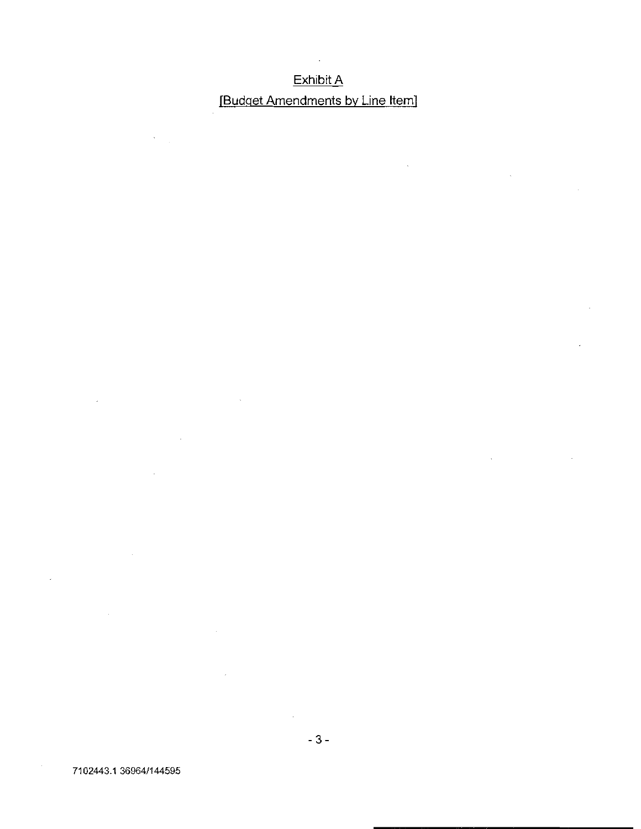## <u>Exhibit A</u> (Budget Amendments by Line Item)

 $\bar{\mathcal{A}}$ 

 $\sim 10$ 

 $\overline{\phantom{a}}$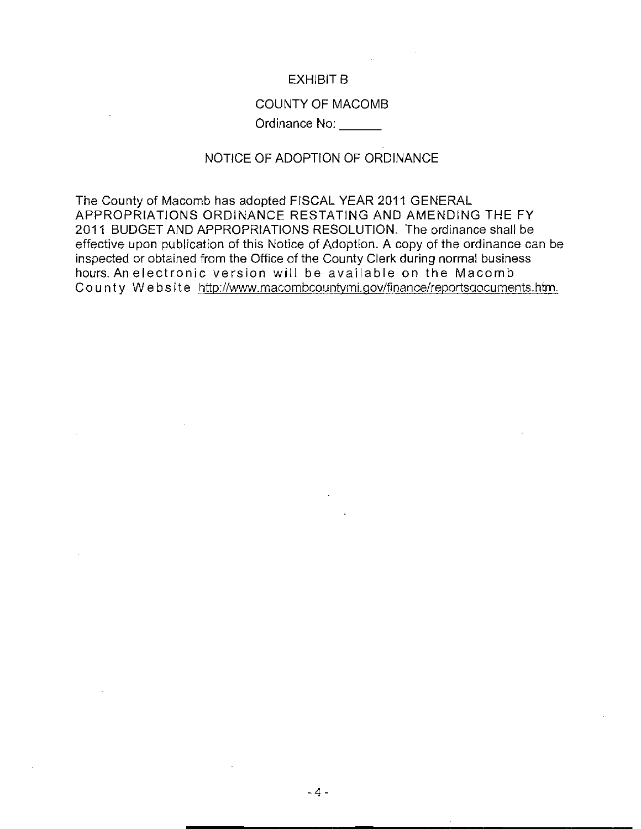#### EXHIBIT B

#### COUNTY OF MACOMB

Ordinance No: \_

#### NOTICE OF ADOPTION OF ORDINANCE

The County of Macomb has adopted FISCAL YEAR 2011 GENERAL APPROPRIATIONS ORDINANCE RESTATING AND AMENDING THE FY 2011 BUDGET AND APPROPRIATIONS RESOLUTION. The ordinance shall be effective upon publication of this Notice of Adoption. A copy of the ordinance can be inspected or obtained from the Office of the County Clerk during normal business hours.Anelectronic version will be available on the Macomb Co u nt y Web sit e http://www.macombcountvmi.qov/finance/reportsdocuments.htm.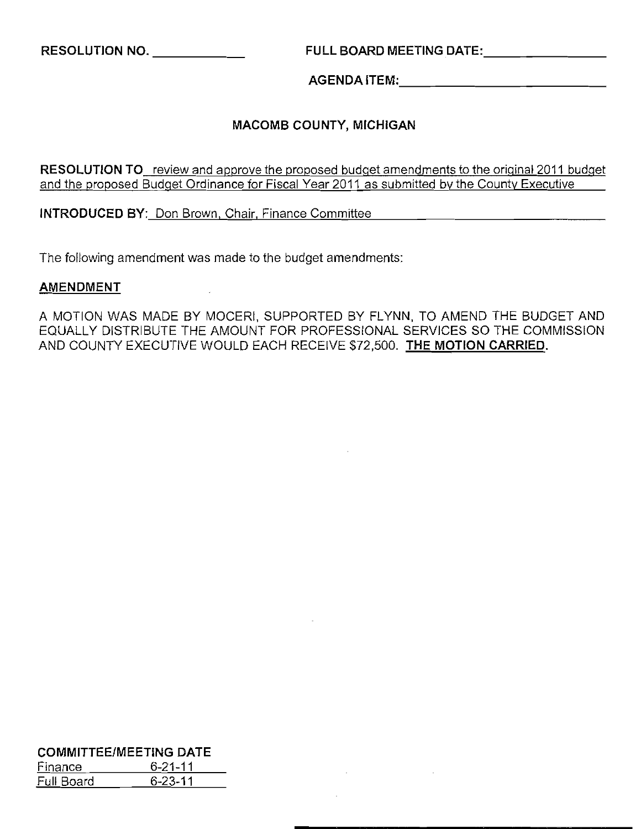**RESOLUTION NO.** \_ **FULL BOARD MEETING** DATE: \_

J

AGENDAITEM:, \_

#### **MACOMB COUNTY, MICHIGAN**

**RESOLUTION TO** review and approve the proposed budget amendments to the original 2011 budget and the proposed Budget Ordinance for Fiscal Year 2011 as submitted by the County Executive

**INTRODUCED** BY: Don Brown, Chair, Finance Committee

The following amendment was made to the budget amendments:

#### **AMENDMENT**

A MOTION WAS MADE BY MOCERI, SUPPORTED BY FLYNN, TO AMEND THE BUDGET AND EQUALLY DISTRIBUTE THE AMOUNT FOR PROFESSIONAL SERVICES SO THE COMMISSION AND COUNTY EXECUTIVE WOULD EACH RECEIVE \$72,500. **THE MOTION CARRIED.** 

|                              | <b>COMMITTEE/MEETING DATE</b> |  |  |  |  |  |
|------------------------------|-------------------------------|--|--|--|--|--|
| $6 - 21 - 11$<br>Finance     |                               |  |  |  |  |  |
| $6 - 23 - 11$<br>Full Board. |                               |  |  |  |  |  |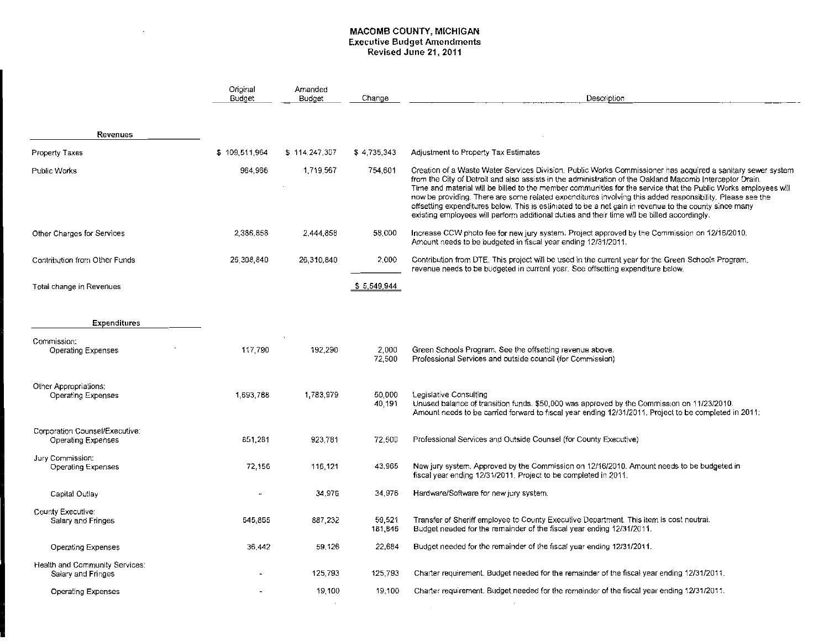#### MACOMB COUNTY, MICHIGAN **Executive Budget Amendments**  Revised June 21,2011

 $\mathcal{L}(\mathcal{L}^{\text{max}}_{\text{max}}, \mathcal{L}^{\text{max}}_{\text{max}})$ 

|                                                             | Original<br>Budget | Amended<br>Budget | Change            | Description                                                                                                                                                                                                                                                                                                                                                                                                                                                                                                                                                                                                                                                      |
|-------------------------------------------------------------|--------------------|-------------------|-------------------|------------------------------------------------------------------------------------------------------------------------------------------------------------------------------------------------------------------------------------------------------------------------------------------------------------------------------------------------------------------------------------------------------------------------------------------------------------------------------------------------------------------------------------------------------------------------------------------------------------------------------------------------------------------|
| Revenues                                                    |                    |                   |                   |                                                                                                                                                                                                                                                                                                                                                                                                                                                                                                                                                                                                                                                                  |
| Property Taxes                                              | \$109,511,964      | \$114,247,307     | \$4,735,343       | Adjustment to Property Tax Estimates                                                                                                                                                                                                                                                                                                                                                                                                                                                                                                                                                                                                                             |
| Public Works                                                | 964,966            | 1.719.567         | 754.601           | Creation of a Waste Water Services Division, Public Works Commissioner has acquired a sanitary sewer system<br>from the City of Detroit and also assists in the administration of the Oakland Macomb Interceptor Drain.<br>Time and material will be billed to the member communities for the service that the Public Works employees will<br>now be providing. There are some related expenditures involving this added responsibility. Please see the<br>offsetting expenditures below. This is estimated to be a net gain in revenue to the county since many<br>existing employees will perform additional duties and their time will be billed accordingly. |
| Other Charges for Services                                  | 2,386,858          | 2,444,858         | 58,000            | Increase CCW photo fee for new jury system. Project approved by the Commission on 12/16/2010.<br>Amount needs to be budgeted in fiscal year ending 12/31/2011.                                                                                                                                                                                                                                                                                                                                                                                                                                                                                                   |
| Contribution from Other Funds                               | 26,308,840         | 26,310,840        | 2,000             | Contribution from DTE. This project will be used in the current year for the Green Schools Program.<br>revenue needs to be budgeted in current year. See offsetting expenditure below.                                                                                                                                                                                                                                                                                                                                                                                                                                                                           |
| Total change in Revenues                                    |                    |                   | \$5,549,944       |                                                                                                                                                                                                                                                                                                                                                                                                                                                                                                                                                                                                                                                                  |
| Expenditures                                                |                    |                   |                   |                                                                                                                                                                                                                                                                                                                                                                                                                                                                                                                                                                                                                                                                  |
| Commission:<br>Operating Expenses                           | 117,790            | 192,290           | 2,000<br>72,500   | Green Schools Program. See the offsetting revenue above.<br>Professional Services and outside council (for Commission)                                                                                                                                                                                                                                                                                                                                                                                                                                                                                                                                           |
| Other Appropriations:<br>Operating Expenses                 | 1,693,788          | 1,783,979         | 50,000<br>40,191  | Legislative Consulting<br>Unused balance of transition funds. \$50,000 was approved by the Commission on 11/23/2010.<br>Amount needs to be carried forward to fiscal year ending 12/31/2011. Project to be completed in 2011;                                                                                                                                                                                                                                                                                                                                                                                                                                    |
| Corporation Counsel/Executive:<br>Operating Expenses        | 851.261            | 923,781           | 72,500            | Professional Services and Outside Counsel (for County Executive)                                                                                                                                                                                                                                                                                                                                                                                                                                                                                                                                                                                                 |
| Jury Commission:<br>Operating Expenses                      | 72,156             | 116,121           | 43,965            | New jury system. Approved by the Commission on 12/16/2010. Amount needs to be budgeted in<br>fiscal year ending 12/31/2011. Project to be completed in 2011.                                                                                                                                                                                                                                                                                                                                                                                                                                                                                                     |
| Capital Outlay                                              |                    | 34.976            | 34.976            | Hardware/Software for new jury system,                                                                                                                                                                                                                                                                                                                                                                                                                                                                                                                                                                                                                           |
| County Executive:<br>Salary and Fringes                     | 645,865            | 887, 232          | 59,521<br>181,846 | Transfer of Sheriff employee to County Executive Department. This item is cost neutral.<br>Budget needed for the remainder of the fiscal year ending 12/31/2011.                                                                                                                                                                                                                                                                                                                                                                                                                                                                                                 |
| <b>Operating Expenses</b>                                   | 36,442             | 59.126            | 22.684            | Budget needed for the remainder of the fiscal year ending 12/31/2011.                                                                                                                                                                                                                                                                                                                                                                                                                                                                                                                                                                                            |
| <b>Health and Community Services:</b><br>Salary and Fringes |                    | 125,793           | 125,793           | Charter requirement. Budget needed for the remainder of the fiscal year ending 12/31/2011.                                                                                                                                                                                                                                                                                                                                                                                                                                                                                                                                                                       |
| Operating Expenses                                          |                    | 19,100            | 19,100            | Charter requirement. Budget needed for the remainder of the fiscal year ending 12/31/2011.                                                                                                                                                                                                                                                                                                                                                                                                                                                                                                                                                                       |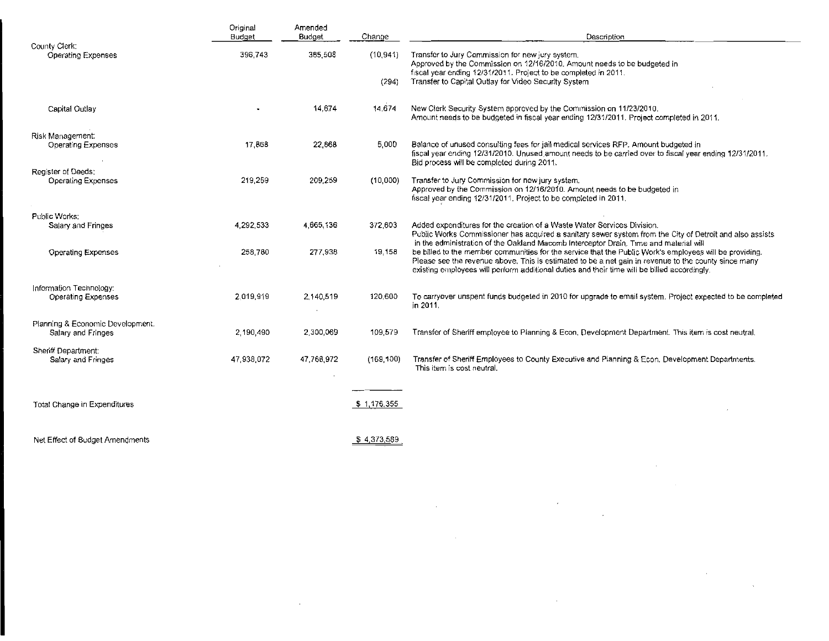|                                                        | Original<br>Budget | Amended<br><b>Budget</b> | Change             | Description                                                                                                                                                                                                                                                                                                     |  |  |
|--------------------------------------------------------|--------------------|--------------------------|--------------------|-----------------------------------------------------------------------------------------------------------------------------------------------------------------------------------------------------------------------------------------------------------------------------------------------------------------|--|--|
| County Clerk.<br><b>Operating Expenses</b>             | 385,503<br>396,743 |                          | (10, 941)<br>(294) | Transfer to Jury Commission for new jury system.<br>Approved by the Commission on 12/16/2010. Amount needs to be budgeted in<br>fiscal year ending 12/31/2011. Project to be completed in 2011.<br>Transfer to Capital Outlay for Video Security System                                                         |  |  |
| Capital Outlay                                         |                    | 14.674                   | 14,674             | New Clerk Security System approved by the Commission on 11/23/2010.<br>Amount needs to be budgeted in fiscal year ending 12/31/2011. Project completed in 2011.                                                                                                                                                 |  |  |
| Risk Management:<br>Operating Expenses                 | 17,868             | 22.868                   | 5.000              | Balance of unused consulting fees for jail medical services RFP. Amount budgeted in<br>fiscal year ending 12/31/2010. Unused amount needs to be carried over to fiscal year ending 12/31/2011.<br>Bid process will be completed during 2011.                                                                    |  |  |
| Register of Deeds:<br><b>Operating Expenses</b>        | 219,259            | 209 259                  | (10,000)           | Transfer to Jury Commission for new jury system.<br>Approved by the Commission on 12/16/2010. Amount needs to be budgeted in<br>fiscal year ending 12/31/2011. Project to be completed in 2011.                                                                                                                 |  |  |
| Public Works:<br>Salary and Fringes                    | 4,292,533          | 4,665.136                | 372,603            | Added expenditures for the creation of a Waste Water Services Division.<br>Public Works Commissioner has acquired a sanitary sewer system from the City of Detroit and also assists<br>in the administration of the Oakland Macomb Interceptor Drain. Time and material will                                    |  |  |
| <b>Operating Expenses</b>                              | 258,780            | 277,938                  | 19,158             | be billed to the member communities for the service that the Public Work's employees will be providing.<br>Please see the revenue above. This is estimated to be a net gain in revenue to the county since many<br>existing employees will perform additional duties and their time will be billed accordingly. |  |  |
| Information Technology:<br>Operating Expenses          | 2.019,919          | 2,140,519                | 120,600            | To carryover unspent funds budgeted in 2010 for upgrade to email system. Project expected to be completed<br>in 2011.                                                                                                                                                                                           |  |  |
| Planning & Economic Development.<br>Salary and Fringes | 2,190,490          | 2,300,069                | 109,579            | Transfer of Sheriff employee to Planning & Econ, Development Department. This item is cost neutral.                                                                                                                                                                                                             |  |  |
| Sheriff Department:<br>Salary and Fringes              | 47,938,072         | 47,766,972               | (169, 100)         | Transfer of Sheriff Employees to County Executive and Planning & Econ. Development Departments.<br>This item is cost neutral.                                                                                                                                                                                   |  |  |
| Total Change in Expenditures                           |                    |                          | \$1,176,355        |                                                                                                                                                                                                                                                                                                                 |  |  |
| Net Effect of Budget Amendments                        |                    |                          | \$4,373,589        |                                                                                                                                                                                                                                                                                                                 |  |  |

 $\mathcal{L}^{\mathcal{L}}(\mathcal{L}^{\mathcal{L}})$  and  $\mathcal{L}^{\mathcal{L}}(\mathcal{L}^{\mathcal{L}})$  and  $\mathcal{L}^{\mathcal{L}}(\mathcal{L}^{\mathcal{L}})$ 

 $\mathcal{L}(\mathcal{L})$  and  $\mathcal{L}(\mathcal{L})$  and  $\mathcal{L}(\mathcal{L})$  and  $\mathcal{L}(\mathcal{L})$  and  $\mathcal{L}(\mathcal{L})$ 

 $\mathcal{L}(\mathcal{L}(\mathcal{L}))$  and  $\mathcal{L}(\mathcal{L}(\mathcal{L}))$  . The contribution of  $\mathcal{L}(\mathcal{L})$ 

 $\label{eq:1} \frac{1}{\sqrt{2}}\int_{\mathbb{R}^3}\frac{1}{\sqrt{2}}\left(\frac{1}{\sqrt{2}}\right)^2\frac{1}{\sqrt{2}}\left(\frac{1}{\sqrt{2}}\right)^2\frac{1}{\sqrt{2}}\left(\frac{1}{\sqrt{2}}\right)^2\frac{1}{\sqrt{2}}\left(\frac{1}{\sqrt{2}}\right)^2.$ 

 $\mathcal{L}^{\text{max}}_{\text{max}}$  and  $\mathcal{L}^{\text{max}}_{\text{max}}$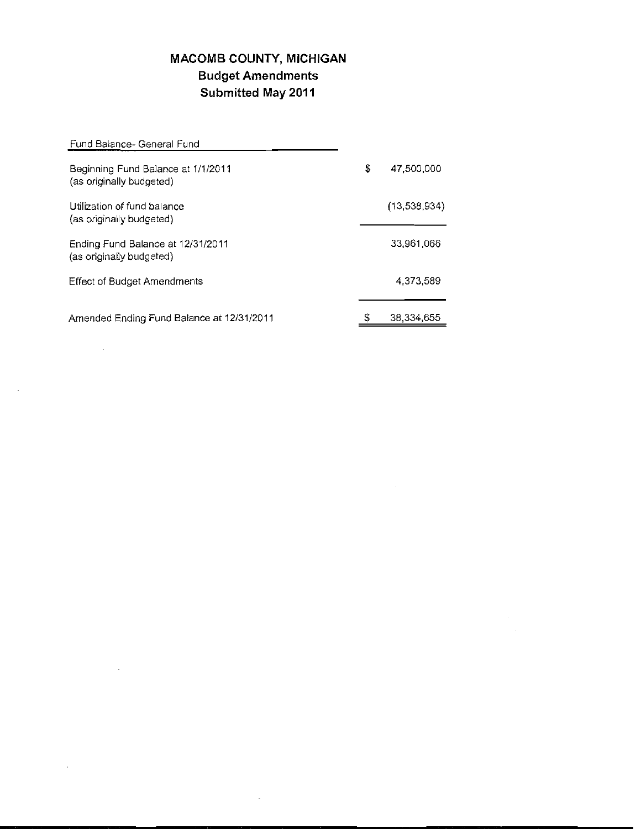## **MACOMB COUNTY, MICHIGAN Budget Amendments Submitted May 2011**

| Fund Balance- General Fund                                     |    |              |
|----------------------------------------------------------------|----|--------------|
| Beginning Fund Balance at 1/1/2011<br>(as originally budgeted) | \$ | 47,500,000   |
| Utilization of fund balance<br>(as originally budgeted)        |    | (13,538,934) |
| Ending Fund Balance at 12/31/2011<br>(as originally budgeted)  |    | 33.961.066   |
| <b>Effect of Budget Amendments</b>                             |    | 4.373.589    |
| Amended Ending Fund Balance at 12/31/2011                      | S  | 38.334.655   |

 $\mathcal{L}^{\text{max}}_{\text{max}}$  and  $\mathcal{L}^{\text{max}}_{\text{max}}$ 

 $\bar{\bar{z}}$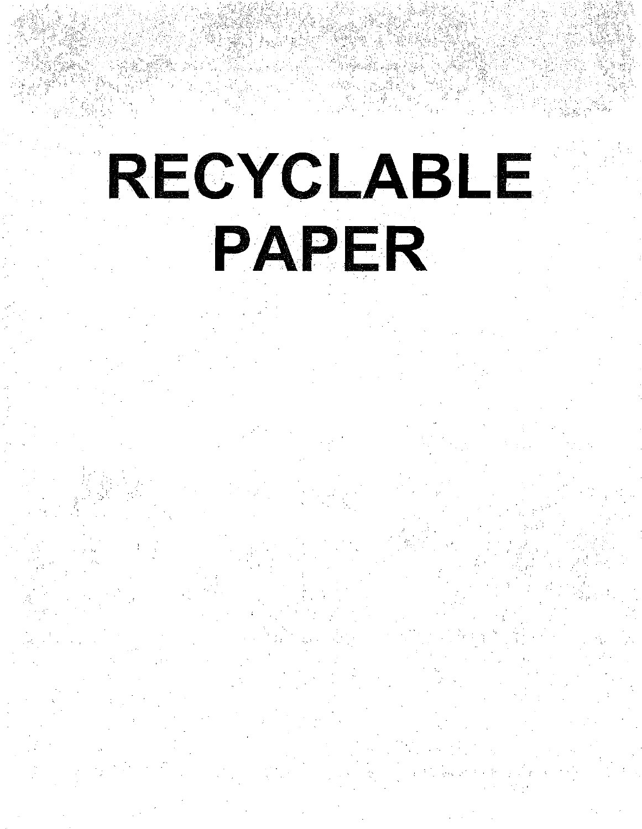# RECYCLABLE PAPER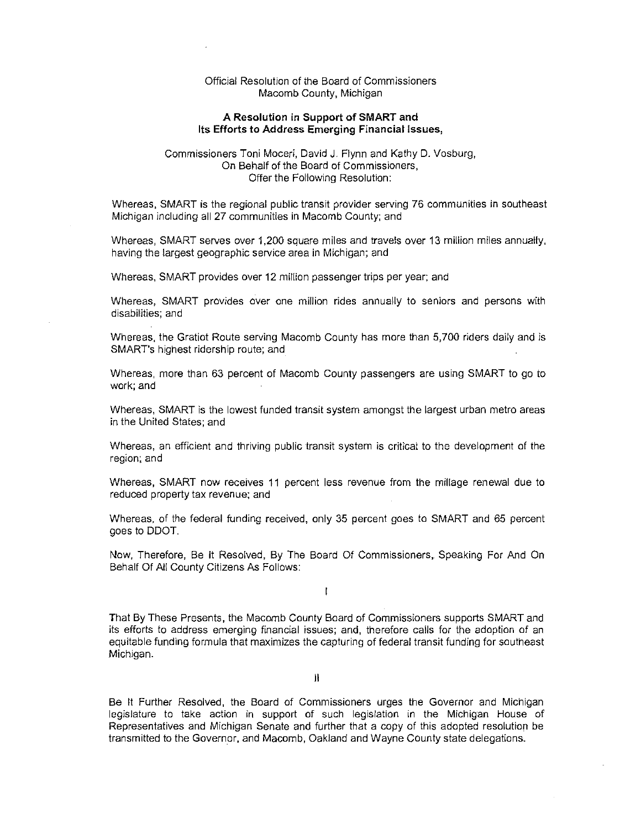#### Official Resolution of the Board of Commissioners Macomb County, Michigan

#### A Resolution in Support of SMART and Its Efforts to Address Emerging Financial Issues,

#### Commissioners Toni Moceri, David J. Flynn and Kathy D. Vosburg, On Behalf of the Board of Commissioners, Offer the Following Resolution:

Whereas, SMART is the regional public transit provider serving 76 communities in southeast Michigan including all 27 communities in Macomb County; and

Whereas, SMART serves over 1,200 square miles and travels over 13 million miles annually, having the largest geographic service area in Michigan; and

Whereas, SMART provides over 12 million passenger trips per year; and

Whereas, SMART provides over one million rides annually to seniors and persons with disabilities; and

Whereas, the Gratiot Route serving Macomb County has more than 5,700 riders daily and is SMART's highest ridership route; and

Whereas, more than 63 percent of Macomb County passengers are using SMART to go to work; and

Whereas, SMART is the lowest funded transit system amongst the largest urban metro areas in the United States; and

Whereas, an efficient and thriving public transit system is critical to the development of the region; and

Whereas, SMART now receives 11 percent less revenue from the millage renewal due to reduced property tax revenue; and

Whereas, of the federal funding received, only 35 percent goes to SMART and 65 percent goes to DDOT

Now, Therefore, Be It Resolved, By The Board Of Commissioners, Speaking For And On Behalf Of All County Citizens As Follows:

 $\mathbf{r}$ 

That By These Presents, the Macomb County Board of Commissioners supports SMART and its efforts to address emerging financial issues; and, therefore calls for the adoption of an equitable funding formula that maximizes the capturing of federal transit funding for southeast Michigan.

II

Be It Further Resolved, the Board of Commissioners urges the Governor and Michigan legislature to take action in support of such legislation in the Michigan House of Representatives and Michigan Senate and further that a copy of this adopted resolution be transmitted to the Governor, and Macomb, Oakland and Wayne County state delegations.